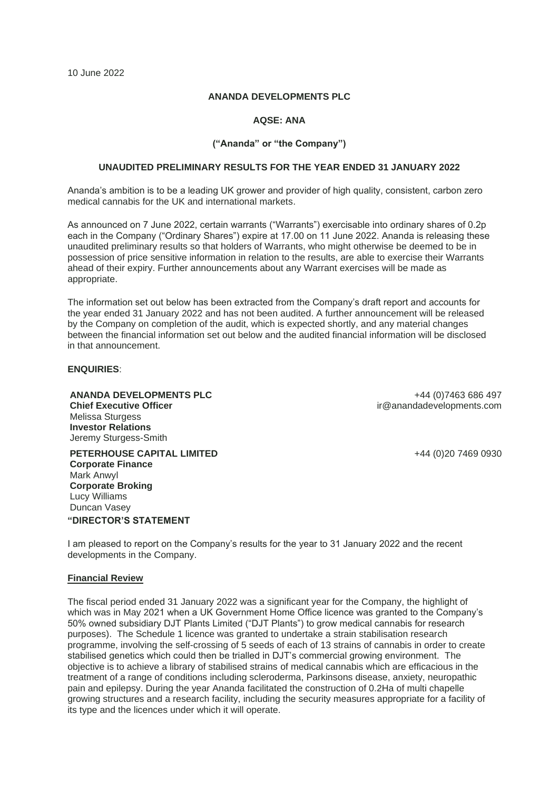#### **ANANDA DEVELOPMENTS PLC**

# **AQSE: ANA**

## **("Ananda" or "the Company")**

## **UNAUDITED PRELIMINARY RESULTS FOR THE YEAR ENDED 31 JANUARY 2022**

Ananda's ambition is to be a leading UK grower and provider of high quality, consistent, carbon zero medical cannabis for the UK and international markets.

As announced on 7 June 2022, certain warrants ("Warrants") exercisable into ordinary shares of 0.2p each in the Company ("Ordinary Shares") expire at 17.00 on 11 June 2022. Ananda is releasing these unaudited preliminary results so that holders of Warrants, who might otherwise be deemed to be in possession of price sensitive information in relation to the results, are able to exercise their Warrants ahead of their expiry. Further announcements about any Warrant exercises will be made as appropriate.

The information set out below has been extracted from the Company's draft report and accounts for the year ended 31 January 2022 and has not been audited. A further announcement will be released by the Company on completion of the audit, which is expected shortly, and any material changes between the financial information set out below and the audited financial information will be disclosed in that announcement.

## **ENQUIRIES**:

**ANANDA DEVELOPMENTS PLC Chief Executive Officer** Melissa Sturgess **Investor Relations** Jeremy Sturgess-Smith

**PETERHOUSE CAPITAL LIMITED Corporate Finance** Mark Anwyl **Corporate Broking** Lucy Williams Duncan Vasey **"DIRECTOR'S STATEMENT**

+44 (0)7463 686 497 ir@anandadevelopments.com

+44 (0)20 7469 0930

I am pleased to report on the Company's results for the year to 31 January 2022 and the recent developments in the Company.

#### **Financial Review**

The fiscal period ended 31 January 2022 was a significant year for the Company, the highlight of which was in May 2021 when a UK Government Home Office licence was granted to the Company's 50% owned subsidiary DJT Plants Limited ("DJT Plants") to grow medical cannabis for research purposes). The Schedule 1 licence was granted to undertake a strain stabilisation research programme, involving the self-crossing of 5 seeds of each of 13 strains of cannabis in order to create stabilised genetics which could then be trialled in DJT's commercial growing environment. The objective is to achieve a library of stabilised strains of medical cannabis which are efficacious in the treatment of a range of conditions including scleroderma, Parkinsons disease, anxiety, neuropathic pain and epilepsy. During the year Ananda facilitated the construction of 0.2Ha of multi chapelle growing structures and a research facility, including the security measures appropriate for a facility of its type and the licences under which it will operate.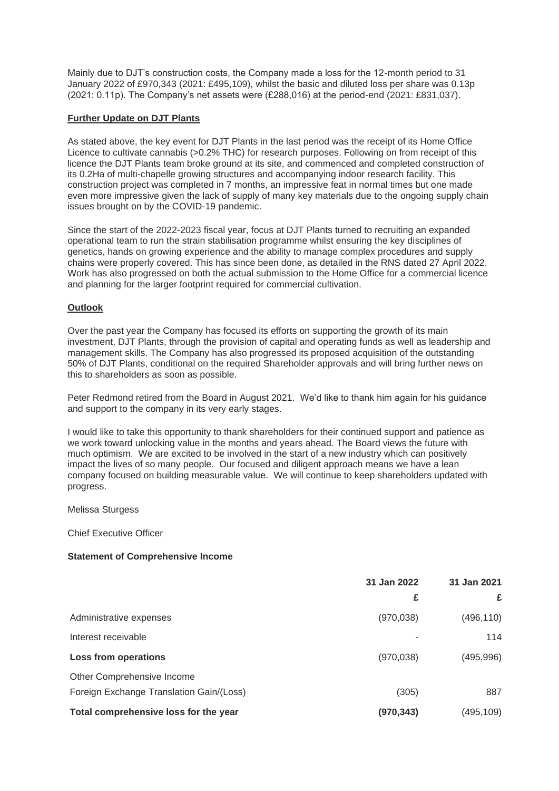Mainly due to DJT's construction costs, the Company made a loss for the 12-month period to 31 January 2022 of £970,343 (2021: £495,109), whilst the basic and diluted loss per share was 0.13p (2021: 0.11p). The Company's net assets were (£288,016) at the period-end (2021: £831,037).

# **Further Update on DJT Plants**

As stated above, the key event for DJT Plants in the last period was the receipt of its Home Office Licence to cultivate cannabis (>0.2% THC) for research purposes. Following on from receipt of this licence the DJT Plants team broke ground at its site, and commenced and completed construction of its 0.2Ha of multi-chapelle growing structures and accompanying indoor research facility. This construction project was completed in 7 months, an impressive feat in normal times but one made even more impressive given the lack of supply of many key materials due to the ongoing supply chain issues brought on by the COVID-19 pandemic.

Since the start of the 2022-2023 fiscal year, focus at DJT Plants turned to recruiting an expanded operational team to run the strain stabilisation programme whilst ensuring the key disciplines of genetics, hands on growing experience and the ability to manage complex procedures and supply chains were properly covered. This has since been done, as detailed in the RNS dated 27 April 2022. Work has also progressed on both the actual submission to the Home Office for a commercial licence and planning for the larger footprint required for commercial cultivation.

# **Outlook**

Over the past year the Company has focused its efforts on supporting the growth of its main investment, DJT Plants, through the provision of capital and operating funds as well as leadership and management skills. The Company has also progressed its proposed acquisition of the outstanding 50% of DJT Plants, conditional on the required Shareholder approvals and will bring further news on this to shareholders as soon as possible.

Peter Redmond retired from the Board in August 2021. We'd like to thank him again for his guidance and support to the company in its very early stages.

I would like to take this opportunity to thank shareholders for their continued support and patience as we work toward unlocking value in the months and years ahead. The Board views the future with much optimism. We are excited to be involved in the start of a new industry which can positively impact the lives of so many people. Our focused and diligent approach means we have a lean company focused on building measurable value. We will continue to keep shareholders updated with progress.

# Melissa Sturgess

Chief Executive Officer

#### **Statement of Comprehensive Income**

|                                          | 31 Jan 2022 | 31 Jan 2021 |  |
|------------------------------------------|-------------|-------------|--|
|                                          | £           | £           |  |
| Administrative expenses                  | (970, 038)  | (496, 110)  |  |
| Interest receivable                      |             | 114         |  |
| Loss from operations                     | (970, 038)  | (495, 996)  |  |
| Other Comprehensive Income               |             |             |  |
| Foreign Exchange Translation Gain/(Loss) | (305)       | 887         |  |
| Total comprehensive loss for the year    | (970, 343)  | (495,109)   |  |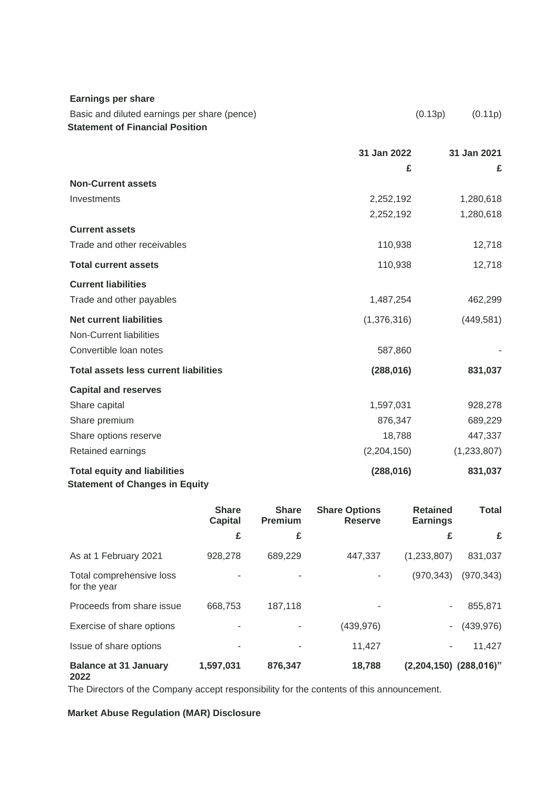| <b>Earnings per share</b>                                                              |             |                    |
|----------------------------------------------------------------------------------------|-------------|--------------------|
| Basic and diluted earnings per share (pence)<br><b>Statement of Financial Position</b> |             | (0.13p)<br>(0.11p) |
|                                                                                        | 31 Jan 2022 | 31 Jan 2021        |
|                                                                                        | £           | £                  |
| <b>Non-Current assets</b>                                                              |             |                    |
| Investments                                                                            | 2,252,192   | 1,280,618          |
|                                                                                        | 2,252,192   | 1,280,618          |
| <b>Current assets</b>                                                                  |             |                    |
| Trade and other receivables                                                            | 110,938     | 12,718             |
| <b>Total current assets</b>                                                            | 110,938     | 12,718             |
| <b>Current liabilities</b>                                                             |             |                    |
| Trade and other payables                                                               | 1,487,254   | 462,299            |
| <b>Net current liabilities</b>                                                         | (1,376,316) | (449, 581)         |
| Non-Current liabilities                                                                |             |                    |
| Convertible loan notes                                                                 | 587,860     |                    |
| <b>Total assets less current liabilities</b>                                           | (288, 016)  | 831,037            |
| <b>Capital and reserves</b>                                                            |             |                    |
| Share capital                                                                          | 1,597,031   | 928,278            |
| Share premium                                                                          | 876,347     | 689,229            |
| Share options reserve                                                                  | 18,788      | 447,337            |
| Retained earnings                                                                      | (2,204,150) | (1,233,807)        |
| <b>Total equity and liabilities</b><br><b>Statement of Changes in Equity</b>           | (288, 016)  | 831,037            |

|                                          | <b>Share</b><br><b>Capital</b> | <b>Share</b><br><b>Premium</b> | <b>Share Options</b><br><b>Reserve</b> | <b>Retained</b><br><b>Earnings</b> | <b>Total</b> |
|------------------------------------------|--------------------------------|--------------------------------|----------------------------------------|------------------------------------|--------------|
|                                          | £                              | £                              |                                        | £                                  | £            |
| As at 1 February 2021                    | 928,278                        | 689,229                        | 447,337                                | (1,233,807)                        | 831,037      |
| Total comprehensive loss<br>for the year |                                |                                |                                        | (970, 343)                         | (970, 343)   |
| Proceeds from share issue                | 668,753                        | 187.118                        |                                        | ٠.                                 | 855,871      |
| Exercise of share options                |                                |                                | (439, 976)                             | $\sim$                             | (439, 976)   |
| Issue of share options                   |                                |                                | 11,427                                 | ٠                                  | 11,427       |
| <b>Balance at 31 January</b><br>2022     | 1,597,031                      | 876,347                        | 18,788                                 | $(2,204,150)$ $(288,016)$ "        |              |

The Directors of the Company accept responsibility for the contents of this announcement.

# **Market Abuse Regulation (MAR) Disclosure**